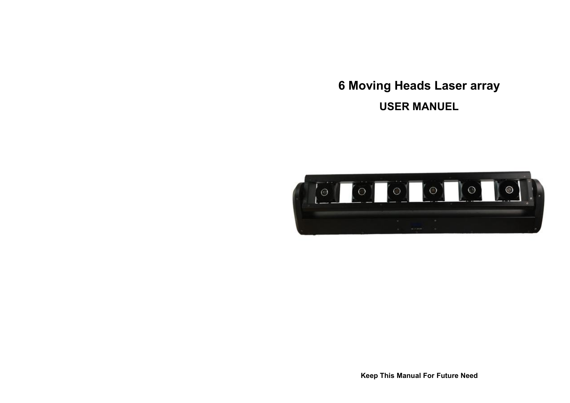# **6 Moving Heads Laser array USER MANUEL**



**Keep This Manual For Future Need**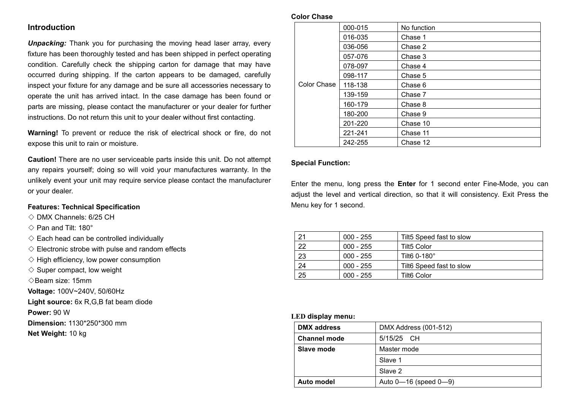### **Introduction**

*Unpacking:* Thank you for purchasing the moving head laser array, every fixture has been thoroughly tested and has been shipped in perfect operating condition. Carefully check the shipping carton for damage that may have occurred during shipping. If the carton appears to be damaged, carefully inspect your fixture for any damage and be sure all accessories necessary to operate the unit has arrived intact. In the case damage has been found or parts are missing, please contact the manufacturer or your dealer for further instructions. Do not return this unit to your dealer without first contacting.

**Warning!** To prevent or reduce the risk of electrical shock or fire, do not expose this unit to rain or moisture.

**Caution!** There are no user serviceable parts inside this unit. Do not attempt any repairs yourself; doing so will void your manufactures warranty. In the unlikely event your unit may require service please contact the manufacturer or your dealer.

#### **Features: Technical Specification**

- $\Diamond$  DMX Channels: 6/25 CH
- $\Diamond$  Pan and Tilt: 180 $^{\circ}$
- $\Diamond$  Each head can be controlled individually
- $\Diamond$  Electronic strobe with pulse and random effects
- $\diamondsuit$  High efficiency, low power consumption
- $\diamond$  Super compact, low weight
- ◇Beam size: 15mm
- **Voltage:** 100V~240V, 50/60Hz
- **Light source:** 6x R,G,B fat beam diode
- **Power:** 90 W
- **Dimension:** 1130\*250\*300 mm
- **Net Weight:** 10 kg

#### **Color Chase**

|             | 000-015 | No function |
|-------------|---------|-------------|
|             | 016-035 | Chase 1     |
|             | 036-056 | Chase 2     |
|             | 057-076 | Chase 3     |
|             | 078-097 | Chase 4     |
|             | 098-117 | Chase 5     |
| Color Chase | 118-138 | Chase 6     |
|             | 139-159 | Chase 7     |
|             | 160-179 | Chase 8     |
|             | 180-200 | Chase 9     |
|             | 201-220 | Chase 10    |
|             | 221-241 | Chase 11    |
|             | 242-255 | Chase 12    |

#### **Special Function:**

Enter the menu, long press the **Enter** for 1 second enter Fine-Mode, you can adjust the level and vertical direction, so that it will consistency. Exit Press the Menu key for 1 second.

| 21 | $000 - 255$ | Tilt5 Speed fast to slow |
|----|-------------|--------------------------|
| つつ | $000 - 255$ | <b>Tilt5 Color</b>       |
| 23 | $000 - 255$ | Tilt6 0-180°             |
| 24 | $000 - 255$ | Tilt6 Speed fast to slow |
| 25 | $000 - 255$ | <b>Tilt6 Color</b>       |

#### **LED display menu:**

| DMX address<br>DMX Address (001-512) |                                |
|--------------------------------------|--------------------------------|
| <b>Channel mode</b>                  | 5/15/25 CH                     |
| Slave mode                           | Master mode                    |
|                                      | Slave 1                        |
|                                      | Slave 2                        |
| Auto model                           | Auto $0 - 16$ (speed $0 - 9$ ) |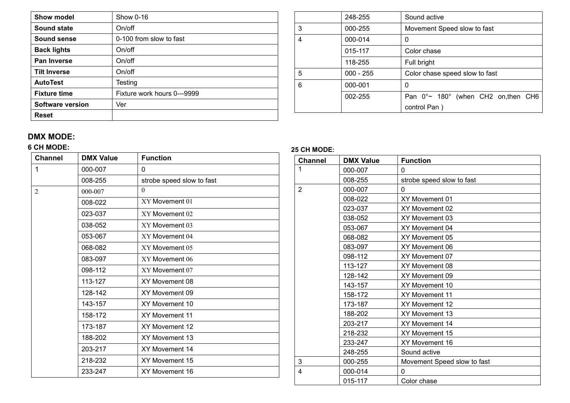| Show 0-16<br>Show model |                             |  |
|-------------------------|-----------------------------|--|
| <b>Sound state</b>      | On/off                      |  |
| Sound sense             | 0-100 from slow to fast     |  |
| <b>Back lights</b>      | On/off                      |  |
| Pan Inverse             | On/off                      |  |
| <b>Tilt Inverse</b>     | On/off                      |  |
| <b>AutoTest</b>         | Testing                     |  |
| <b>Fixture time</b>     | Fixture work hours 0---9999 |  |
| <b>Software version</b> | Ver                         |  |
| <b>Reset</b>            |                             |  |

|   | 248-255     | Sound active                                |  |
|---|-------------|---------------------------------------------|--|
| 3 | 000-255     | Movement Speed slow to fast                 |  |
| 4 | 000-014     | 0                                           |  |
|   | 015-117     | Color chase                                 |  |
|   | 118-255     | Full bright                                 |  |
| 5 | $000 - 255$ | Color chase speed slow to fast              |  |
| 6 | 000-001     | 0                                           |  |
|   | 002-255     | Pan $0^{\circ}$ 180° (when CH2 on, then CH6 |  |
|   |             | control Pan)                                |  |

## **DMX MODE:**

## **6 CH MODE:**

| <b>Channel</b> | <b>DMX Value</b> | <b>Function</b>           |
|----------------|------------------|---------------------------|
| 1              | 000-007          | 0                         |
|                | 008-255          | strobe speed slow to fast |
| $\overline{2}$ | 000-007          | $\theta$                  |
|                | 008-022          | XY Movement 01            |
|                | 023-037          | XY Movement 02            |
|                | 038-052          | XY Movement 03            |
|                | 053-067          | XY Movement 04            |
|                | 068-082          | XY Movement 05            |
|                | 083-097          | XY Movement 06            |
|                | 098-112          | XY Movement 07            |
|                | 113-127          | XY Movement 08            |
|                | 128-142          | XY Movement 09            |
|                | 143-157          | XY Movement 10            |
|                | 158-172          | XY Movement 11            |
|                | 173-187          | XY Movement 12            |
|                | 188-202          | XY Movement 13            |
|                | 203-217          | XY Movement 14            |
|                | 218-232          | XY Movement 15            |
|                | 233-247          | XY Movement 16            |

## **25 CH MODE:**

| <b>Channel</b> | <b>DMX Value</b> | <b>Function</b>             |  |
|----------------|------------------|-----------------------------|--|
| 1              | 000-007          | 0                           |  |
|                | 008-255          | strobe speed slow to fast   |  |
| $\overline{2}$ | 000-007          | 0                           |  |
|                | 008-022          | XY Movement 01              |  |
|                | 023-037          | XY Movement 02              |  |
|                | 038-052          | XY Movement 03              |  |
|                | 053-067          | XY Movement 04              |  |
|                | 068-082          | XY Movement 05              |  |
|                | 083-097          | XY Movement 06              |  |
|                | 098-112          | XY Movement 07              |  |
|                | 113-127          | XY Movement 08              |  |
|                | 128-142          | XY Movement 09              |  |
|                | 143-157          | XY Movement 10              |  |
|                | 158-172          | XY Movement 11              |  |
|                | 173-187          | XY Movement 12              |  |
|                | 188-202          | XY Movement 13              |  |
|                | 203-217          | XY Movement 14              |  |
|                | 218-232          | XY Movement 15              |  |
|                | 233-247          | XY Movement 16              |  |
|                | 248-255          | Sound active                |  |
| 3              | 000-255          | Movement Speed slow to fast |  |
| $\overline{4}$ | 000-014          | 0                           |  |
|                | 015-117          | Color chase                 |  |